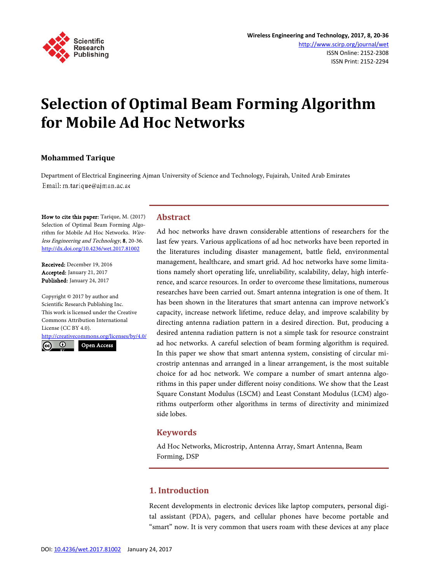

# **Selection of Optimal Beam Forming Algorithm for Mobile Ad Hoc Networks**

## **Mohammed Tarique**

Department of Electrical Engineering Ajman University of Science and Technology, Fujairah, United Arab Emirates Email: m.tarique@ajman.ac.ae

How to cite this paper: Tarique, M. (2017) Selection of Optimal Beam Forming Algorithm for Mobile Ad Hoc Networks. Wireless Engineering and Technology, 8, 20-36. http://dx.doi.org/10.4236/wet.2017.81002

Received: December 19, 2016 Accepted: January 21, 2017 Published: January 24, 2017

Copyright © 2017 by author and Scientific Research Publishing Inc. This work is licensed under the Creative Commons Attribution International License (CC BY 4.0).

http://creativecommons.org/licenses/by/4.0/ Open Access

 $\odot$  $\left(\mathrm{cc}\right)$ 

**Abstract**

Ad hoc networks have drawn considerable attentions of researchers for the last few years. Various applications of ad hoc networks have been reported in the literatures including disaster management, battle field, environmental management, healthcare, and smart grid. Ad hoc networks have some limitations namely short operating life, unreliability, scalability, delay, high interference, and scarce resources. In order to overcome these limitations, numerous researches have been carried out. Smart antenna integration is one of them. It has been shown in the literatures that smart antenna can improve network's capacity, increase network lifetime, reduce delay, and improve scalability by directing antenna radiation pattern in a desired direction. But, producing a desired antenna radiation pattern is not a simple task for resource constraint ad hoc networks. A careful selection of beam forming algorithm is required. In this paper we show that smart antenna system, consisting of circular microstrip antennas and arranged in a linear arrangement, is the most suitable choice for ad hoc network. We compare a number of smart antenna algorithms in this paper under different noisy conditions. We show that the Least Square Constant Modulus (LSCM) and Least Constant Modulus (LCM) algorithms outperform other algorithms in terms of directivity and minimized side lobes.

#### **Keywords**

Ad Hoc Networks, Microstrip, Antenna Array, Smart Antenna, Beam Forming, DSP

## **1. Introduction**

Recent developments in electronic devices like laptop computers, personal digital assistant (PDA), pagers, and cellular phones have become portable and "smart" now. It is very common that users roam with these devices at any place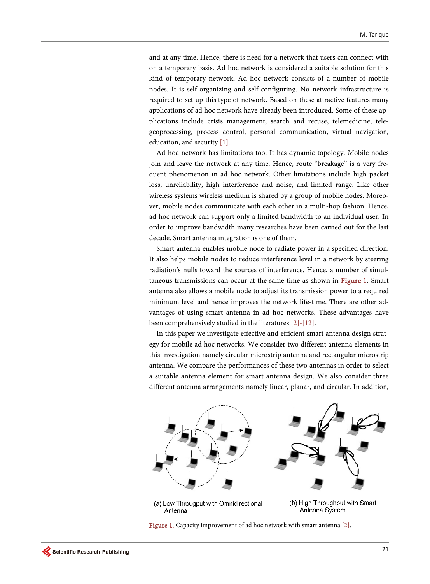and at any time. Hence, there is need for a network that users can connect with on a temporary basis. Ad hoc network is considered a suitable solution for this kind of temporary network. Ad hoc network consists of a number of mobile nodes. It is self-organizing and self-configuring. No network infrastructure is required to set up this type of network. Based on these attractive features many applications of ad hoc network have already been introduced. Some of these applications include crisis management, search and recuse, telemedicine, telegeoprocessing, process control, personal communication, virtual navigation, education, and security [1].

Ad hoc network has limitations too. It has dynamic topology. Mobile nodes join and leave the network at any time. Hence, route "breakage" is a very frequent phenomenon in ad hoc network. Other limitations include high packet loss, unreliability, high interference and noise, and limited range. Like other wireless systems wireless medium is shared by a group of mobile nodes. Moreover, mobile nodes communicate with each other in a multi-hop fashion. Hence, ad hoc network can support only a limited bandwidth to an individual user. In order to improve bandwidth many researches have been carried out for the last decade. Smart antenna integration is one of them.

Smart antenna enables mobile node to radiate power in a specified direction. It also helps mobile nodes to reduce interference level in a network by steering radiation's nulls toward the sources of interference. Hence, a number of simultaneous transmissions can occur at the same time as shown in Figure 1. Smart antenna also allows a mobile node to adjust its transmission power to a required minimum level and hence improves the network life-time. There are other advantages of using smart antenna in ad hoc networks. These advantages have been comprehensively studied in the literatures [2]-[12].

In this paper we investigate effective and efficient smart antenna design strategy for mobile ad hoc networks. We consider two different antenna elements in this investigation namely circular microstrip antenna and rectangular microstrip antenna. We compare the performances of these two antennas in order to select a suitable antenna element for smart antenna design. We also consider three different antenna arrangements namely linear, planar, and circular. In addition,



(a) Low Througput with Omnidirectional Antenna

(b) High Throughput with Smart Antenna System

Figure 1. Capacity improvement of ad hoc network with smart antenna [2].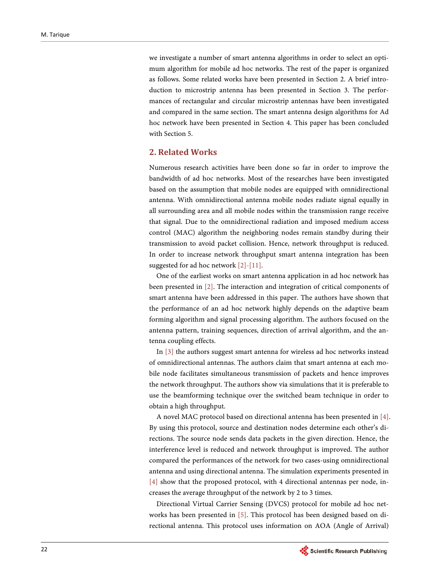we investigate a number of smart antenna algorithms in order to select an optimum algorithm for mobile ad hoc networks. The rest of the paper is organized as follows. Some related works have been presented in Section 2. A brief introduction to microstrip antenna has been presented in Section 3. The performances of rectangular and circular microstrip antennas have been investigated and compared in the same section. The smart antenna design algorithms for Ad hoc network have been presented in Section 4. This paper has been concluded with Section 5.

### **2. Related Works**

Numerous research activities have been done so far in order to improve the bandwidth of ad hoc networks. Most of the researches have been investigated based on the assumption that mobile nodes are equipped with omnidirectional antenna. With omnidirectional antenna mobile nodes radiate signal equally in all surrounding area and all mobile nodes within the transmission range receive that signal. Due to the omnidirectional radiation and imposed medium access control (MAC) algorithm the neighboring nodes remain standby during their transmission to avoid packet collision. Hence, network throughput is reduced. In order to increase network throughput smart antenna integration has been suggested for ad hoc network [2]-[11].

One of the earliest works on smart antenna application in ad hoc network has been presented in [2]. The interaction and integration of critical components of smart antenna have been addressed in this paper. The authors have shown that the performance of an ad hoc network highly depends on the adaptive beam forming algorithm and signal processing algorithm. The authors focused on the antenna pattern, training sequences, direction of arrival algorithm, and the antenna coupling effects.

In [3] the authors suggest smart antenna for wireless ad hoc networks instead of omnidirectional antennas. The authors claim that smart antenna at each mobile node facilitates simultaneous transmission of packets and hence improves the network throughput. The authors show via simulations that it is preferable to use the beamforming technique over the switched beam technique in order to obtain a high throughput.

A novel MAC protocol based on directional antenna has been presented in [4]. By using this protocol, source and destination nodes determine each other's directions. The source node sends data packets in the given direction. Hence, the interference level is reduced and network throughput is improved. The author compared the performances of the network for two cases-using omnidirectional antenna and using directional antenna. The simulation experiments presented in [4] show that the proposed protocol, with 4 directional antennas per node, increases the average throughput of the network by 2 to 3 times.

Directional Virtual Carrier Sensing (DVCS) protocol for mobile ad hoc networks has been presented in [5]. This protocol has been designed based on directional antenna. This protocol uses information on AOA (Angle of Arrival)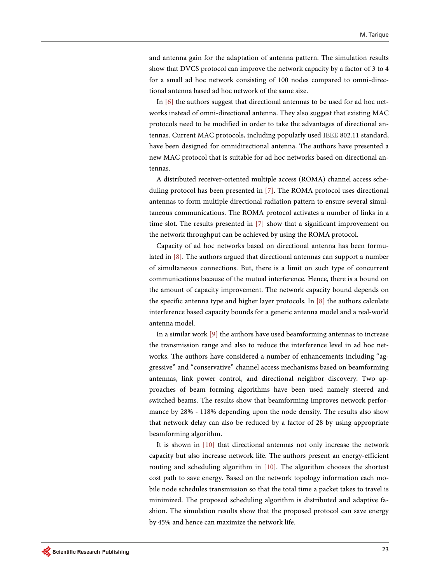and antenna gain for the adaptation of antenna pattern. The simulation results show that DVCS protocol can improve the network capacity by a factor of 3 to 4 for a small ad hoc network consisting of 100 nodes compared to omni-directional antenna based ad hoc network of the same size.

In [6] the authors suggest that directional antennas to be used for ad hoc networks instead of omni-directional antenna. They also suggest that existing MAC protocols need to be modified in order to take the advantages of directional antennas. Current MAC protocols, including popularly used IEEE 802.11 standard, have been designed for omnidirectional antenna. The authors have presented a new MAC protocol that is suitable for ad hoc networks based on directional antennas.

A distributed receiver-oriented multiple access (ROMA) channel access scheduling protocol has been presented in [7]. The ROMA protocol uses directional antennas to form multiple directional radiation pattern to ensure several simultaneous communications. The ROMA protocol activates a number of links in a time slot. The results presented in [7] show that a significant improvement on the network throughput can be achieved by using the ROMA protocol.

Capacity of ad hoc networks based on directional antenna has been formulated in [8]. The authors argued that directional antennas can support a number of simultaneous connections. But, there is a limit on such type of concurrent communications because of the mutual interference. Hence, there is a bound on the amount of capacity improvement. The network capacity bound depends on the specific antenna type and higher layer protocols. In [8] the authors calculate interference based capacity bounds for a generic antenna model and a real-world antenna model.

In a similar work [9] the authors have used beamforming antennas to increase the transmission range and also to reduce the interference level in ad hoc networks. The authors have considered a number of enhancements including "aggressive" and "conservative" channel access mechanisms based on beamforming antennas, link power control, and directional neighbor discovery. Two approaches of beam forming algorithms have been used namely steered and switched beams. The results show that beamforming improves network performance by 28% - 118% depending upon the node density. The results also show that network delay can also be reduced by a factor of 28 by using appropriate beamforming algorithm.

It is shown in [10] that directional antennas not only increase the network capacity but also increase network life. The authors present an energy-efficient routing and scheduling algorithm in [10]. The algorithm chooses the shortest cost path to save energy. Based on the network topology information each mobile node schedules transmission so that the total time a packet takes to travel is minimized. The proposed scheduling algorithm is distributed and adaptive fashion. The simulation results show that the proposed protocol can save energy by 45% and hence can maximize the network life.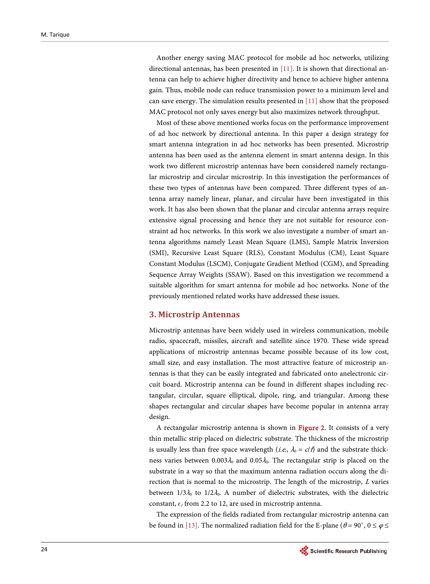Another energy saving MAC protocol for mobile ad hoc networks, utilizing directional antennas, has been presented in  $[11]$ . It is shown that directional antenna can help to achieve higher directivity and hence to achieve higher antenna gain. Thus, mobile node can reduce transmission power to a minimum level and can save energy. The simulation results presented in [11] show that the proposed MAC protocol not only saves energy but also maximizes network throughput.

Most of these above mentioned works focus on the performance improvement of ad hoc network by directional antenna. In this paper a design strategy for smart antenna integration in ad hoc networks has been presented. Microstrip antenna has been used as the antenna element in smart antenna design. In this work two different microstrip antennas have been considered namely rectangular microstrip and circular microstrip. In this investigation the performances of these two types of antennas have been compared. Three different types of antenna array namely linear, planar, and circular have been investigated in this work. It has also been shown that the planar and circular antenna arrays require extensive signal processing and hence they are not suitable for resource constraint ad hoc networks. In this work we also investigate a number of smart antenna algorithms namely Least Mean Square (LMS), Sample Matrix Inversion (SMI), Recursive Least Square (RLS), Constant Modulus (CM), Least Square Constant Modulus (LSCM), Conjugate Gradient Method (CGM), and Spreading Sequence Array Weights (SSAW). Based on this investigation we recommend a suitable algorithm for smart antenna for mobile ad hoc networks. None of the previously mentioned related works have addressed these issues.

### **3. Microstrip Antennas**

Microstrip antennas have been widely used in wireless communication, mobile radio, spacecraft, missiles, aircraft and satellite since 1970. These wide spread applications of microstrip antennas became possible because of its low cost, small size, and easy installation. The most attractive feature of microstrip antennas is that they can be easily integrated and fabricated onto anelectronic circuit board. Microstrip antenna can be found in different shapes including rectangular, circular, square elliptical, dipole, ring, and triangular. Among these shapes rectangular and circular shapes have become popular in antenna array design.

A rectangular microstrip antenna is shown in Figure 2. It consists of a very thin metallic strip placed on dielectric substrate. The thickness of the microstrip is usually less than free space wavelength (*i.e.*,  $\lambda_0 = c/f$ ) and the substrate thickness varies between  $0.003\lambda_0$  and  $0.05\lambda_0$ . The rectangular strip is placed on the substrate in a way so that the maximum antenna radiation occurs along the direction that is normal to the microstrip. The length of the microstrip, <sup>L</sup> varies between  $1/3\lambda_0$  to  $1/2\lambda_0$ . A number of dielectric substrates, with the dielectric constant,  $\epsilon_r$  from 2.2 to 12, are used in microstrip antenna.

The expression of the fields radiated from rectangular microstrip antenna can be found in [13]. The normalized radiation field for the E-plane ( $\theta = 90^{\circ}$ ,  $0 \le \varphi \le$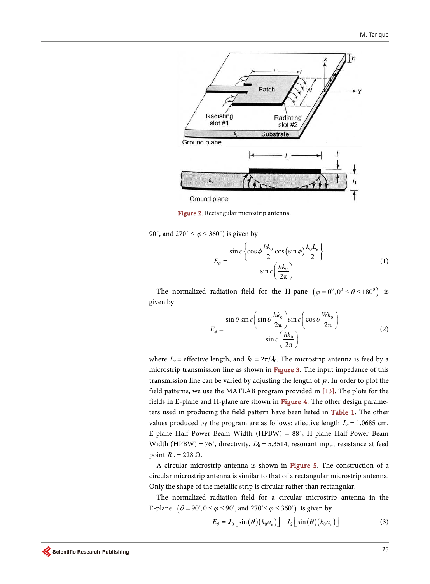

Figure 2. Rectangular microstrip antenna.

90°, and 270°  $\leq \varphi \leq 360$ °) is given by

$$
E_{\theta} = \frac{\sin c \left\{ \cos \phi \frac{hk_0}{2} \cos (\sin \phi) \frac{k_0 L_e}{2} \right\}}{\sin c \left( \frac{hk_0}{2\pi} \right)}
$$
(1)

The normalized radiation field for the H-pane  $(\varphi = 0^0, 0^0 \le \theta \le 180^0)$  is given by

$$
E_{\phi} = \frac{\sin \theta \sin c \left(\sin \theta \frac{hk_0}{2\pi}\right) \sin c \left(\cos \theta \frac{Wk_0}{2\pi}\right)}{\sin c \left(\frac{hk_0}{2\pi}\right)}\tag{2}
$$

where  $L_e$  = effective length, and  $k_0 = 2\pi/\lambda_0$ . The microstrip antenna is feed by a microstrip transmission line as shown in Figure 3. The input impedance of this transmission line can be varied by adjusting the length of  $y_0$ . In order to plot the field patterns, we use the MATLAB program provided in [13]. The plots for the fields in E-plane and H-plane are shown in Figure 4. The other design parameters used in producing the field pattern have been listed in Table 1. The other values produced by the program are as follows: effective length  $L_e$  = 1.0685 cm, E-plane Half Power Beam Width (HPBW) = 88˚, H-plane Half-Power Beam Width (HPBW) = 76°, directivity,  $D_0$  = 5.3514, resonant input resistance at feed point  $R_{\text{in}}$  = 228 Ω.

A circular microstrip antenna is shown in Figure 5. The construction of a circular microstrip antenna is similar to that of a rectangular microstrip antenna. Only the shape of the metallic strip is circular rather than rectangular.

The normalized radiation field for a circular microstrip antenna in the E-plane  $(\theta = 90^\circ, 0 \le \phi \le 90^\circ, \text{ and } 270^\circ \le \phi \le 360^\circ)$  is given by

$$
E_{\theta} = J_0 \left[ \sin \left( \theta \right) \left( k_0 a_e \right) \right] - J_2 \left[ \sin \left( \theta \right) \left( k_0 a_e \right) \right] \tag{3}
$$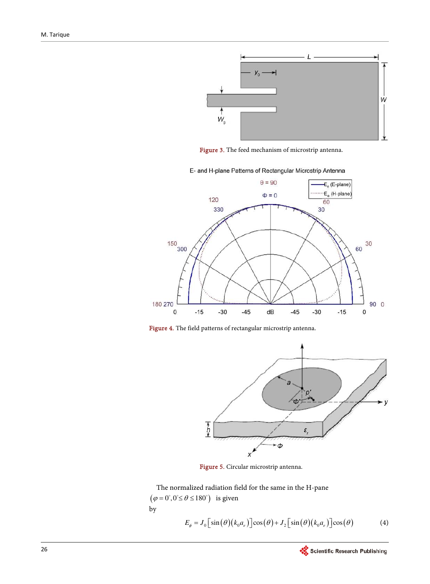

Figure 3. The feed mechanism of microstrip antenna.

E- and H-plane Patterns of Rectangular Microstrip Antenna



Figure 4. The field patterns of rectangular microstrip antenna.



Figure 5. Circular microstrip antenna.

The normalized radiation field for the same in the H-pane  $(\varphi = 0^\circ, 0^\circ \le \theta \le 180^\circ)$  is given by  $E_{\phi} = J_0 \left[ \sin \left( \theta \right) \left( k_0 a_e \right) \right] \cos \left( \theta \right) + J_2 \left[ \sin \left( \theta \right) \left( k_0 a_e \right) \right] \cos \left( \theta \right)$  (4)

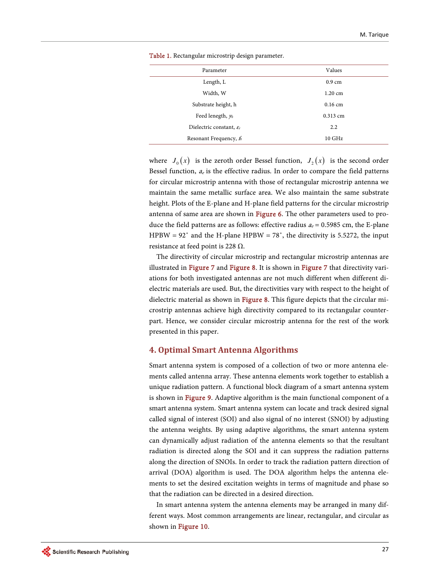| Parameter                            | Values           |
|--------------------------------------|------------------|
| Length, L                            | $0.9 \text{ cm}$ |
| Width, W                             | 1.20 cm          |
| Substrate height, h                  | $0.16$ cm        |
| Feed lenegth, $y_0$                  | $0.313$ cm       |
| Dielectric constant, $\varepsilon_r$ | $2.2^{\circ}$    |
| Resonant Frequency, $f_0$            | $10 \text{ GHz}$ |

Table 1. Rectangular microstrip design parameter.

where  $J_0(x)$  is the zeroth order Bessel function,  $J_2(x)$  is the second order Bessel function,  $a_e$  is the effective radius. In order to compare the field patterns for circular microstrip antenna with those of rectangular microstrip antenna we maintain the same metallic surface area. We also maintain the same substrate height. Plots of the E-plane and H-plane field patterns for the circular microstrip antenna of same area are shown in Figure 6. The other parameters used to produce the field patterns are as follows: effective radius  $a_e$  = 0.5985 cm, the E-plane HPBW =  $92^\circ$  and the H-plane HPBW = 78°, the directivity is 5.5272, the input resistance at feed point is 228  $Ω$ .

The directivity of circular microstrip and rectangular microstrip antennas are illustrated in Figure 7 and Figure 8. It is shown in Figure 7 that directivity variations for both investigated antennas are not much different when different dielectric materials are used. But, the directivities vary with respect to the height of dielectric material as shown in Figure 8. This figure depicts that the circular microstrip antennas achieve high directivity compared to its rectangular counterpart. Hence, we consider circular microstrip antenna for the rest of the work presented in this paper.

#### **4. Optimal Smart Antenna Algorithms**

Smart antenna system is composed of a collection of two or more antenna elements called antenna array. These antenna elements work together to establish a unique radiation pattern. A functional block diagram of a smart antenna system is shown in Figure 9. Adaptive algorithm is the main functional component of a smart antenna system. Smart antenna system can locate and track desired signal called signal of interest (SOI) and also signal of no interest (SNOI) by adjusting the antenna weights. By using adaptive algorithms, the smart antenna system can dynamically adjust radiation of the antenna elements so that the resultant radiation is directed along the SOI and it can suppress the radiation patterns along the direction of SNOIs. In order to track the radiation pattern direction of arrival (DOA) algorithm is used. The DOA algorithm helps the antenna elements to set the desired excitation weights in terms of magnitude and phase so that the radiation can be directed in a desired direction.

In smart antenna system the antenna elements may be arranged in many different ways. Most common arrangements are linear, rectangular, and circular as shown in Figure 10.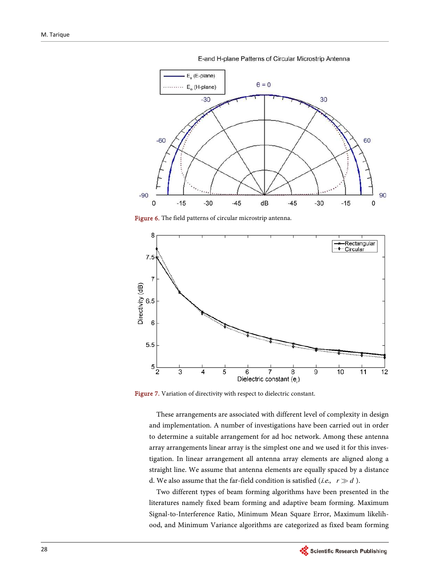$E<sub>a</sub>$  (E-plane)  $\theta = 0$  $\cdots$  E<sub>o</sub> (H-plane)  $-30$ 30  $-60$ 60  $-90$ 90  $\overline{0}$  $-15$  $-30$  $-45$ dB  $-45$  $-30$  $-15$  $\mathbf 0$ 

E-and H-plane Patterns of Circular Microstrip Antenna

Figure 6. The field patterns of circular microstrip antenna.



Figure 7. Variation of directivity with respect to dielectric constant.

These arrangements are associated with different level of complexity in design and implementation. A number of investigations have been carried out in order to determine a suitable arrangement for ad hoc network. Among these antenna array arrangements linear array is the simplest one and we used it for this investigation. In linear arrangement all antenna array elements are aligned along a straight line. We assume that antenna elements are equally spaced by a distance d. We also assume that the far-field condition is satisfied (*i.e.*,  $r \gg d$  ).

Two different types of beam forming algorithms have been presented in the literatures namely fixed beam forming and adaptive beam forming. Maximum Signal-to-Interference Ratio, Minimum Mean Square Error, Maximum likelihood, and Minimum Variance algorithms are categorized as fixed beam forming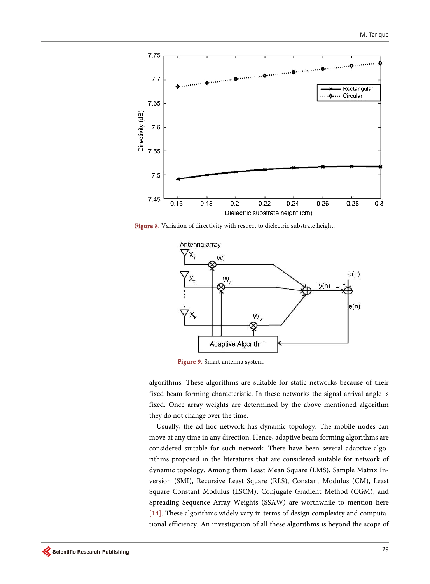

Figure 8. Variation of directivity with respect to dielectric substrate height.



Figure 9. Smart antenna system.

algorithms. These algorithms are suitable for static networks because of their fixed beam forming characteristic. In these networks the signal arrival angle is fixed. Once array weights are determined by the above mentioned algorithm they do not change over the time.

Usually, the ad hoc network has dynamic topology. The mobile nodes can move at any time in any direction. Hence, adaptive beam forming algorithms are considered suitable for such network. There have been several adaptive algorithms proposed in the literatures that are considered suitable for network of dynamic topology. Among them Least Mean Square (LMS), Sample Matrix Inversion (SMI), Recursive Least Square (RLS), Constant Modulus (CM), Least Square Constant Modulus (LSCM), Conjugate Gradient Method (CGM), and Spreading Sequence Array Weights (SSAW) are worthwhile to mention here [14]. These algorithms widely vary in terms of design complexity and computational efficiency. An investigation of all these algorithms is beyond the scope of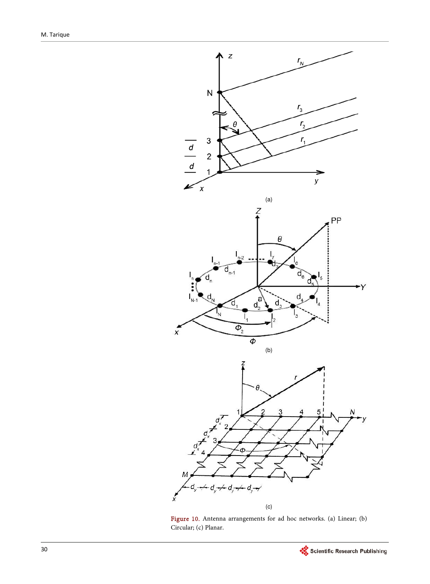

Figure 10. Antenna arrangements for ad hoc networks. (a) Linear; (b) Circular; (c) Planar.

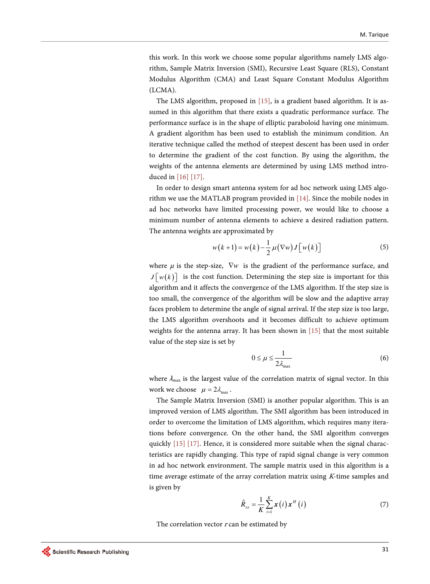this work. In this work we choose some popular algorithms namely LMS algorithm, Sample Matrix Inversion (SMI), Recursive Least Square (RLS), Constant Modulus Algorithm (CMA) and Least Square Constant Modulus Algorithm (LCMA).

The LMS algorithm, proposed in [15], is a gradient based algorithm. It is assumed in this algorithm that there exists a quadratic performance surface. The performance surface is in the shape of elliptic paraboloid having one minimum. A gradient algorithm has been used to establish the minimum condition. An iterative technique called the method of steepest descent has been used in order to determine the gradient of the cost function. By using the algorithm, the weights of the antenna elements are determined by using LMS method introduced in [16] [17].

In order to design smart antenna system for ad hoc network using LMS algorithm we use the MATLAB program provided in [14]. Since the mobile nodes in ad hoc networks have limited processing power, we would like to choose a minimum number of antenna elements to achieve a desired radiation pattern. The antenna weights are approximated by

$$
w(k+1) = w(k) - \frac{1}{2}\mu(\nabla w)J[w(k)]
$$
\n(5)

where  $\mu$  is the step-size,  $\nabla w$  is the gradient of the performance surface, and  $J[w(k)]$  is the cost function. Determining the step size is important for this algorithm and it affects the convergence of the LMS algorithm. If the step size is too small, the convergence of the algorithm will be slow and the adaptive array faces problem to determine the angle of signal arrival. If the step size is too large, the LMS algorithm overshoots and it becomes difficult to achieve optimum weights for the antenna array. It has been shown in [15] that the most suitable value of the step size is set by

$$
0 \le \mu \le \frac{1}{2\lambda_{\text{max}}} \tag{6}
$$

where  $\lambda_{\text{max}}$  is the largest value of the correlation matrix of signal vector. In this work we choose  $\mu = 2\lambda_{\text{max}}$ .

The Sample Matrix Inversion (SMI) is another popular algorithm. This is an improved version of LMS algorithm. The SMI algorithm has been introduced in order to overcome the limitation of LMS algorithm, which requires many iterations before convergence. On the other hand, the SMI algorithm converges quickly [15] [17]. Hence, it is considered more suitable when the signal characteristics are rapidly changing. This type of rapid signal change is very common in ad hoc network environment. The sample matrix used in this algorithm is a time average estimate of the array correlation matrix using K-time samples and is given by

$$
\hat{R}_{xx} = \frac{1}{K} \sum_{i=1}^{K} \mathbf{x}(i) \mathbf{x}^{H}(i)
$$
\n(7)

The correlation vector  $r$  can be estimated by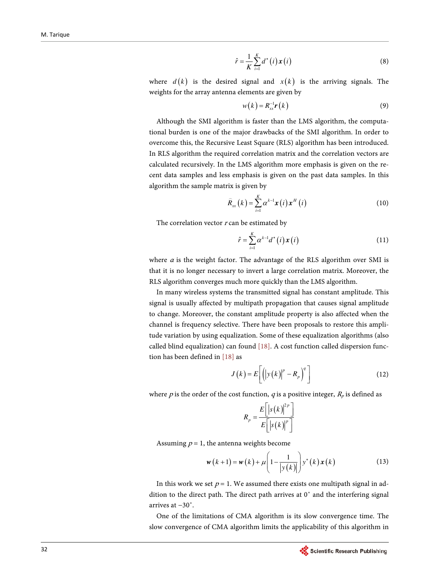$$
\hat{r} = \frac{1}{K} \sum_{i=1}^{K} d^*(i) \mathbf{x}(i)
$$
\n(8)

where  $d(k)$  is the desired signal and  $x(k)$  is the arriving signals. The weights for the array antenna elements are given by

$$
w(k) = R_{xx}^{-1} \boldsymbol{r}(k) \tag{9}
$$

Although the SMI algorithm is faster than the LMS algorithm, the computational burden is one of the major drawbacks of the SMI algorithm. In order to overcome this, the Recursive Least Square (RLS) algorithm has been introduced. In RLS algorithm the required correlation matrix and the correlation vectors are calculated recursively. In the LMS algorithm more emphasis is given on the recent data samples and less emphasis is given on the past data samples. In this algorithm the sample matrix is given by

$$
\widehat{R}_{xx}(k) = \sum_{i=1}^{K} \alpha^{k-1} \mathbf{x}(i) \mathbf{x}^{H}(i)
$$
\n(10)

The correlation vector  $r$  can be estimated by

$$
\hat{r} = \sum_{i=1}^{K} \alpha^{k-1} d^*(i) \mathbf{x}(i)
$$
\n(11)

where  $\alpha$  is the weight factor. The advantage of the RLS algorithm over SMI is that it is no longer necessary to invert a large correlation matrix. Moreover, the RLS algorithm converges much more quickly than the LMS algorithm.

In many wireless systems the transmitted signal has constant amplitude. This signal is usually affected by multipath propagation that causes signal amplitude to change. Moreover, the constant amplitude property is also affected when the channel is frequency selective. There have been proposals to restore this amplitude variation by using equalization. Some of these equalization algorithms (also called blind equalization) can found [18]. A cost function called dispersion function has been defined in [18] as

$$
J(k) = E\left[\left(\left|y(k)\right|^p - R_p\right)^q\right]
$$
 (12)

where p is the order of the cost function, q is a positive integer,  $R_p$  is defined as

$$
R_p = \frac{E\left[\left|s(k)\right|^{2p}\right]}{E\left[\left|s(k)\right|^p\right]}
$$

Assuming  $p = 1$ , the antenna weights become

$$
\mathbf{w}(k+1) = \mathbf{w}(k) + \mu \left(1 - \frac{1}{|\mathbf{y}(k)|}\right) \mathbf{y}^*(k) \mathbf{x}(k)
$$
 (13)

In this work we set  $p = 1$ . We assumed there exists one multipath signal in addition to the direct path. The direct path arrives at  $0<sup>°</sup>$  and the interfering signal arrives at −30˚.

One of the limitations of CMA algorithm is its slow convergence time. The slow convergence of CMA algorithm limits the applicability of this algorithm in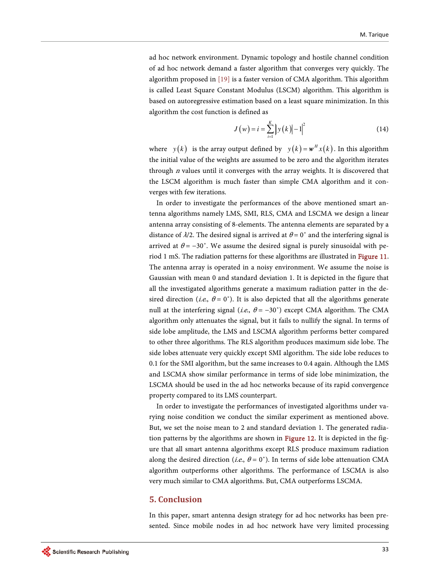ad hoc network environment. Dynamic topology and hostile channel condition of ad hoc network demand a faster algorithm that converges very quickly. The algorithm proposed in [19] is a faster version of CMA algorithm. This algorithm is called Least Square Constant Modulus (LSCM) algorithm. This algorithm is based on autoregressive estimation based on a least square minimization. In this algorithm the cost function is defined as

$$
J(w) = i = \sum_{i=1}^{K} |y(k)| - 1|^{2}
$$
 (14)

where  $y(k)$  is the array output defined by  $y(k) = w^H x(k)$ . In this algorithm the initial value of the weights are assumed to be zero and the algorithm iterates through  $n$  values until it converges with the array weights. It is discovered that the LSCM algorithm is much faster than simple CMA algorithm and it converges with few iterations.

In order to investigate the performances of the above mentioned smart antenna algorithms namely LMS, SMI, RLS, CMA and LSCMA we design a linear antenna array consisting of 8-elements. The antenna elements are separated by a distance of  $\lambda/2$ . The desired signal is arrived at  $\theta = 0^{\circ}$  and the interfering signal is arrived at  $\theta = -30^{\circ}$ . We assume the desired signal is purely sinusoidal with period 1 mS. The radiation patterns for these algorithms are illustrated in Figure 11. The antenna array is operated in a noisy environment. We assume the noise is Gaussian with mean 0 and standard deviation 1. It is depicted in the figure that all the investigated algorithms generate a maximum radiation patter in the desired direction (*i.e.*,  $\theta = 0^{\circ}$ ). It is also depicted that all the algorithms generate null at the interfering signal (i.e.,  $\theta = -30^{\circ}$ ) except CMA algorithm. The CMA algorithm only attenuates the signal, but it fails to nullify the signal. In terms of side lobe amplitude, the LMS and LSCMA algorithm performs better compared to other three algorithms. The RLS algorithm produces maximum side lobe. The side lobes attenuate very quickly except SMI algorithm. The side lobe reduces to 0.1 for the SMI algorithm, but the same increases to 0.4 again. Although the LMS and LSCMA show similar performance in terms of side lobe minimization, the LSCMA should be used in the ad hoc networks because of its rapid convergence property compared to its LMS counterpart.

In order to investigate the performances of investigated algorithms under varying noise condition we conduct the similar experiment as mentioned above. But, we set the noise mean to 2 and standard deviation 1. The generated radiation patterns by the algorithms are shown in Figure 12. It is depicted in the figure that all smart antenna algorithms except RLS produce maximum radiation along the desired direction (i.e.,  $\theta = 0^{\circ}$ ). In terms of side lobe attenuation CMA algorithm outperforms other algorithms. The performance of LSCMA is also very much similar to CMA algorithms. But, CMA outperforms LSCMA.

#### **5. Conclusion**

In this paper, smart antenna design strategy for ad hoc networks has been presented. Since mobile nodes in ad hoc network have very limited processing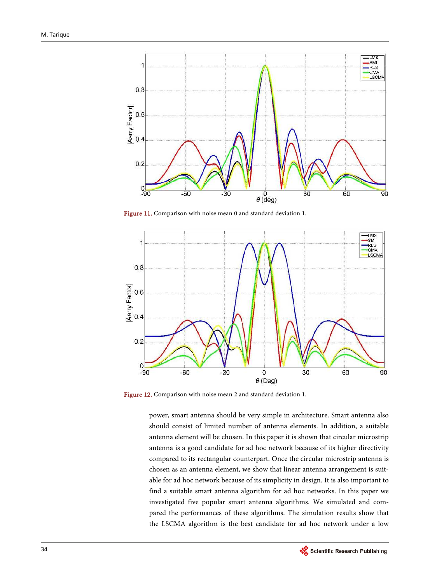

Figure 11. Comparison with noise mean 0 and standard deviation 1.



Figure 12. Comparison with noise mean 2 and standard deviation 1.

power, smart antenna should be very simple in architecture. Smart antenna also should consist of limited number of antenna elements. In addition, a suitable antenna element will be chosen. In this paper it is shown that circular microstrip antenna is a good candidate for ad hoc network because of its higher directivity compared to its rectangular counterpart. Once the circular microstrip antenna is chosen as an antenna element, we show that linear antenna arrangement is suitable for ad hoc network because of its simplicity in design. It is also important to find a suitable smart antenna algorithm for ad hoc networks. In this paper we investigated five popular smart antenna algorithms. We simulated and compared the performances of these algorithms. The simulation results show that the LSCMA algorithm is the best candidate for ad hoc network under a low

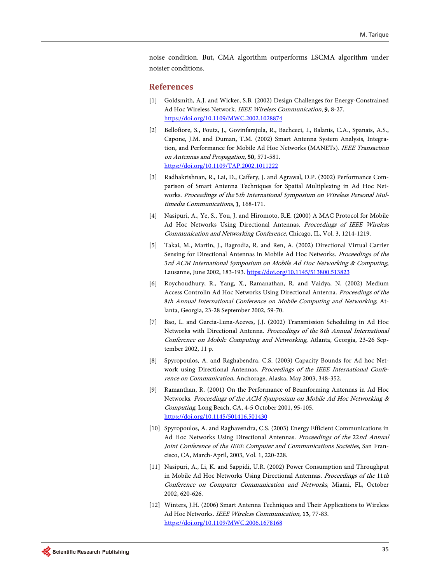noise condition. But, CMA algorithm outperforms LSCMA algorithm under noisier conditions.

#### **References**

- [1] Goldsmith, A.J. and Wicker, S.B. (2002) Design Challenges for Energy-Constrained Ad Hoc Wireless Network. IEEE Wireless Communication, 9, 8-27. https://doi.org/10.1109/MWC.2002.1028874
- [2] Bellofiore, S., Foutz, J., Govinfarajula, R., Bachceci, I., Balanis, C.A., Spanais, A.S., Capone, J.M. and Duman, T.M. (2002) Smart Antenna System Analysis, Integration, and Performance for Mobile Ad Hoc Networks (MANETs). IEEE Transaction on Antennas and Propagation, 50, 571-581. https://doi.org/10.1109/TAP.2002.1011222
- [3] Radhakrishnan, R., Lai, D., Caffery, J. and Agrawal, D.P. (2002) Performance Comparison of Smart Antenna Techniques for Spatial Multiplexing in Ad Hoc Networks. Proceedings of the 5th International Symposium on Wireless Personal Multimedia Communications, 1, 168-171.
- [4] Nasipuri, A., Ye, S., You, J. and Hiromoto, R.E. (2000) A MAC Protocol for Mobile Ad Hoc Networks Using Directional Antennas. Proceedings of IEEE Wireless Communication and Networking Conference, Chicago, IL, Vol. 3, 1214-1219.
- [5] Takai, M., Martin, J., Bagrodia, R. and Ren, A. (2002) Directional Virtual Carrier Sensing for Directional Antennas in Mobile Ad Hoc Networks. Proceedings of the 3rd ACM International Symposium on Mobile Ad Hoc Networking & Computing, Lausanne, June 2002, 183-193. https://doi.org/10.1145/513800.513823
- [6] Roychoudhury, R., Yang, X., Ramanathan, R. and Vaidya, N. (2002) Medium Access Controlin Ad Hoc Networks Using Directional Antenna. Proceedings of the 8th Annual International Conference on Mobile Computing and Networking, Atlanta, Georgia, 23-28 September 2002, 59-70.
- [7] Bao, L. and Garcia-Luna-Aceves, J.J. (2002) Transmission Scheduling in Ad Hoc Networks with Directional Antenna. Proceedings of the 8th Annual International Conference on Mobile Computing and Networking, Atlanta, Georgia, 23-26 September 2002, 11 p.
- [8] Spyropoulos, A. and Raghabendra, C.S. (2003) Capacity Bounds for Ad hoc Network using Directional Antennas. Proceedings of the IEEE International Conference on Communication, Anchorage, Alaska, May 2003, 348-352.
- [9] Ramanthan, R. (2001) On the Performance of Beamforming Antennas in Ad Hoc Networks. Proceedings of the ACM Symposium on Mobile Ad Hoc Networking & Computing, Long Beach, CA, 4-5 October 2001, 95-105. https://doi.org/10.1145/501416.501430
- [10] Spyropoulos, A. and Raghavendra, C.S. (2003) Energy Efficient Communications in Ad Hoc Networks Using Directional Antennas. Proceedings of the 22nd Annual Joint Conference of the IEEE Computer and Communications Societies, San Francisco, CA, March-April, 2003, Vol. 1, 220-228.
- [11] Nasipuri, A., Li, K. and Sappidi, U.R. (2002) Power Consumption and Throughput in Mobile Ad Hoc Networks Using Directional Antennas. Proceedings of the 11th Conference on Computer Communication and Networks, Miami, FL, October 2002, 620-626.
- [12] Winters, J.H. (2006) Smart Antenna Techniques and Their Applications to Wireless Ad Hoc Networks. IEEE Wireless Communication, 13, 77-83. https://doi.org/10.1109/MWC.2006.1678168